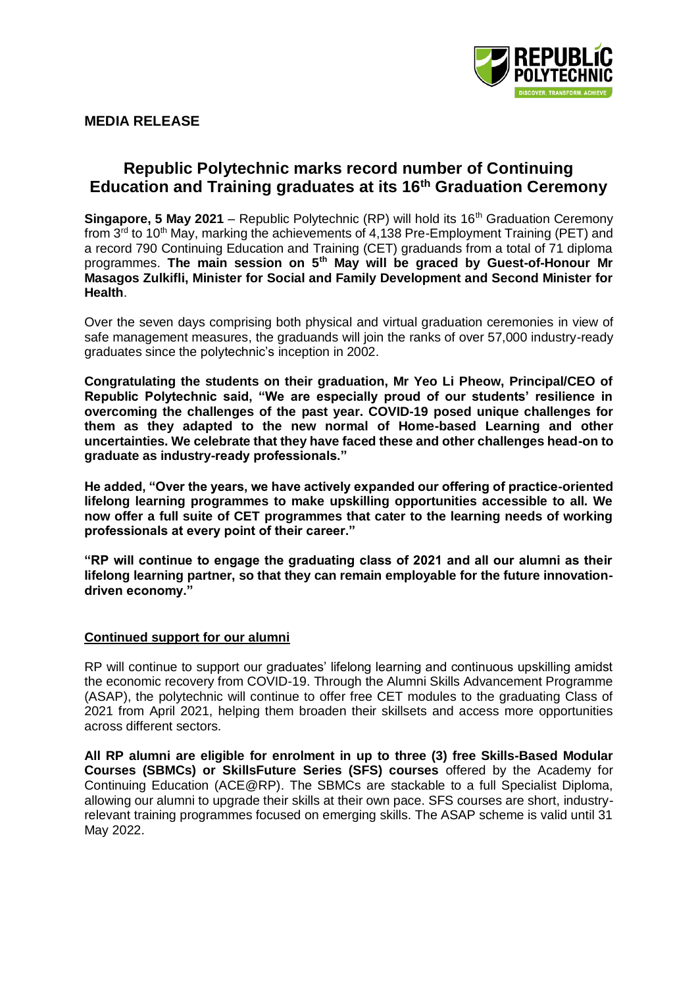

# **MEDIA RELEASE**

# **Republic Polytechnic marks record number of Continuing Education and Training graduates at its 16th Graduation Ceremony**

**Singapore, 5 May 2021** – Republic Polytechnic (RP) will hold its 16<sup>th</sup> Graduation Ceremony from 3<sup>rd</sup> to 10<sup>th</sup> May, marking the achievements of 4,138 Pre-Employment Training (PET) and a record 790 Continuing Education and Training (CET) graduands from a total of 71 diploma programmes. **The main session on 5th May will be graced by Guest-of-Honour Mr Masagos Zulkifli, Minister for Social and Family Development and Second Minister for Health**.

Over the seven days comprising both physical and virtual graduation ceremonies in view of safe management measures, the graduands will join the ranks of over 57,000 industry-ready graduates since the polytechnic's inception in 2002.

**Congratulating the students on their graduation, Mr Yeo Li Pheow, Principal/CEO of Republic Polytechnic said, "We are especially proud of our students' resilience in overcoming the challenges of the past year. COVID-19 posed unique challenges for them as they adapted to the new normal of Home-based Learning and other uncertainties. We celebrate that they have faced these and other challenges head-on to graduate as industry-ready professionals."** 

**He added, "Over the years, we have actively expanded our offering of practice-oriented lifelong learning programmes to make upskilling opportunities accessible to all. We now offer a full suite of CET programmes that cater to the learning needs of working professionals at every point of their career."** 

**"RP will continue to engage the graduating class of 2021 and all our alumni as their lifelong learning partner, so that they can remain employable for the future innovationdriven economy."**

## **Continued support for our alumni**

RP will continue to support our graduates' lifelong learning and continuous upskilling amidst the economic recovery from COVID-19. Through the Alumni Skills Advancement Programme (ASAP), the polytechnic will continue to offer free CET modules to the graduating Class of 2021 from April 2021, helping them broaden their skillsets and access more opportunities across different sectors.

**All RP alumni are eligible for enrolment in up to three (3) free Skills-Based Modular Courses (SBMCs) or SkillsFuture Series (SFS) courses** offered by the Academy for Continuing Education (ACE@RP). The SBMCs are stackable to a full Specialist Diploma, allowing our alumni to upgrade their skills at their own pace. SFS courses are short, industryrelevant training programmes focused on emerging skills. The ASAP scheme is valid until 31 May 2022.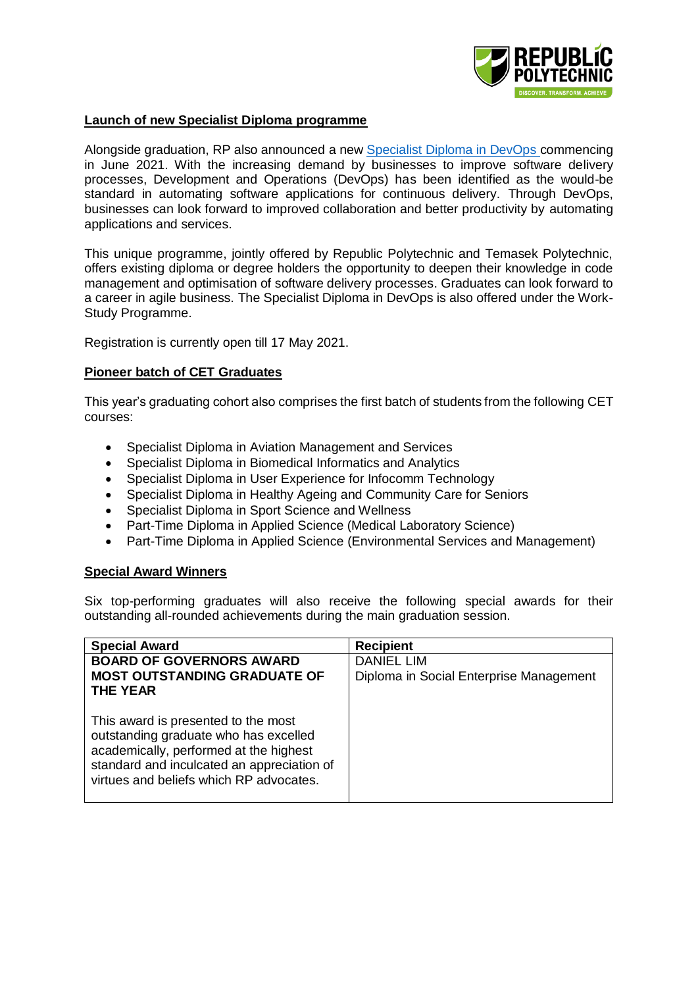

#### **Launch of new Specialist Diploma programme**

Alongside graduation, RP also announced a new [Specialist Diploma in DevOps](https://www.rp.edu.sg/ace/course-summary/Detail/specialist-diploma-in-devops) commencing in June 2021. With the increasing demand by businesses to improve software delivery processes, Development and Operations (DevOps) has been identified as the would-be standard in automating software applications for continuous delivery. Through DevOps, businesses can look forward to improved collaboration and better productivity by automating applications and services.

This unique programme, jointly offered by Republic Polytechnic and Temasek Polytechnic, offers existing diploma or degree holders the opportunity to deepen their knowledge in code management and optimisation of software delivery processes. Graduates can look forward to a career in agile business. The Specialist Diploma in DevOps is also offered under the Work-Study Programme.

Registration is currently open till 17 May 2021.

#### **Pioneer batch of CET Graduates**

This year's graduating cohort also comprises the first batch of students from the following CET courses:

- Specialist Diploma in Aviation Management and Services
- Specialist Diploma in Biomedical Informatics and Analytics
- Specialist Diploma in User Experience for Infocomm Technology
- Specialist Diploma in Healthy Ageing and Community Care for Seniors
- Specialist Diploma in Sport Science and Wellness
- Part-Time Diploma in Applied Science (Medical Laboratory Science)
- Part-Time Diploma in Applied Science (Environmental Services and Management)

#### **Special Award Winners**

Six top-performing graduates will also receive the following special awards for their outstanding all-rounded achievements during the main graduation session.

| <b>Special Award</b>                                                                                                                                                                                            | <b>Recipient</b>                        |
|-----------------------------------------------------------------------------------------------------------------------------------------------------------------------------------------------------------------|-----------------------------------------|
| <b>BOARD OF GOVERNORS AWARD</b>                                                                                                                                                                                 | <b>DANIEL LIM</b>                       |
| <b>MOST OUTSTANDING GRADUATE OF</b><br><b>THE YEAR</b>                                                                                                                                                          | Diploma in Social Enterprise Management |
| This award is presented to the most<br>outstanding graduate who has excelled<br>academically, performed at the highest<br>standard and inculcated an appreciation of<br>virtues and beliefs which RP advocates. |                                         |